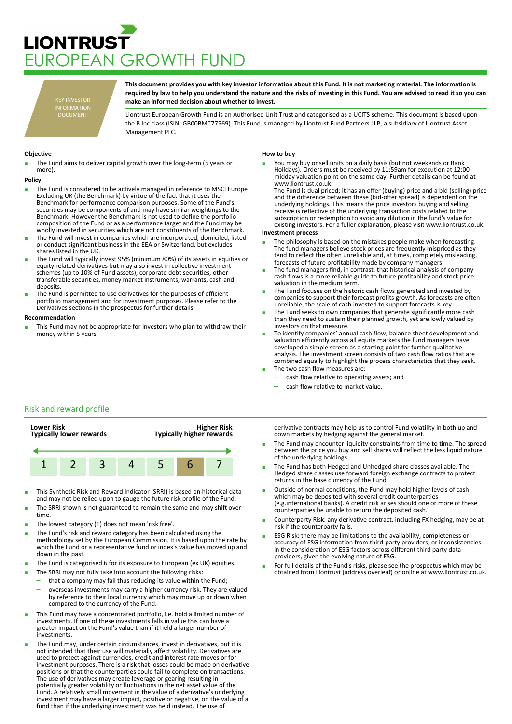# **LIONTRUST** JROPEAN GROWTH FUND

KEY INVESTOR INFORMATION DOCUMENT

**This document provides you with key investor information about this Fund. It is not marketing material. The information is required by law to help you understand the nature and the risks of investing in this Fund. You are advised to read it so you can make an informed decision about whether to invest.**

Liontrust European Growth Fund is an Authorised Unit Trust and categorised as a UCITS scheme. This document is based upon the B Inc class (ISIN: GB00BMC77569). This Fund is managed by Liontrust Fund Partners LLP, a subsidiary of Liontrust Asset Management PLC.

## **Objective**

The Fund aims to deliver capital growth over the long-term (5 years or more).

#### **Policy**

- The Fund is considered to be actively managed in reference to MSCI Europe Excluding UK (the Benchmark) by virtue of the fact that it uses the Benchmark for performance comparison purposes. Some of the Fund's securities may be components of and may have similar weightings to the Benchmark. However the Benchmark is not used to define the portfolio composition of the Fund or as a performance target and the Fund may be wholly invested in securities which are not constituents of the Benchmark.
- The Fund will invest in companies which are incorporated, domiciled, listed or conduct significant business in the EEA or Switzerland, but excludes shares listed in the UK.
- The Fund will typically invest 95% (minimum 80%) of its assets in equities or equity related derivatives but may also invest in collective investment schemes (up to 10% of Fund assets), corporate debt securities, other transferable securities, money market instruments, warrants, cash and deposits.
- The Fund is permitted to use derivatives for the purposes of efficient portfolio management and for investment purposes. Please refer to the Derivatives sections in the prospectus for further details.

#### **Recommendation**

This Fund may not be appropriate for investors who plan to withdraw their money within 5 years.

## **How to buy**

You may buy or sell units on a daily basis (but not weekends or Bank Holidays). Orders must be received by 11:59am for execution at 12:00 midday valuation point on the same day. Further details can be found at www.liontrust.co.uk.

The Fund is dual priced; it has an offer (buying) price and a bid (selling) price and the difference between these (bid-offer spread) is dependent on the underlying holdings. This means the price investors buying and selling receive is reflective of the underlying transaction costs related to the subscription or redemption to avoid any dilution in the fund's value for existing investors. For a fuller explanation, please visit www.liontrust.co.uk.

#### **Investment process**

- The philosophy is based on the mistakes people make when forecasting. The fund managers believe stock prices are frequently mispriced as they tend to reflect the often unreliable and, at times, completely misleading, forecasts of future profitability made by company managers.
- The fund managers find, in contrast, that historical analysis of company cash flows is a more reliable guide to future profitability and stock price valuation in the medium term.
- The Fund focuses on the historic cash flows generated and invested by companies to support their forecast profits growth. As forecasts are often unreliable, the scale of cash invested to support forecasts is key.
- The Fund seeks to own companies that generate significantly more cash than they need to sustain their planned growth, yet are lowly valued by investors on that measure.
- To identify companies' annual cash flow, balance sheet development and valuation efficiently across all equity markets the fund managers have developed a simple screen as a starting point for further qualitative analysis. The investment screen consists of two cash flow ratios that are combined equally to highlight the process characteristics that they seek. The two cash flow measures are:
	- cash flow relative to operating assets; and
	- cash flow relative to market value.
	-

# Risk and reward profile



- This Synthetic Risk and Reward Indicator (SRRI) is based on historical data and may not be relied upon to gauge the future risk profile of the Fund.
- The SRRI shown is not guaranteed to remain the same and may shift over time.
- The lowest category (1) does not mean 'risk free'.
- The Fund's risk and reward category has been calculated using the methodology set by the European Commission. It is based upon the rate by which the Fund or a representative fund or index's value has moved up and down in the past.
- The Fund is categorised 6 for its exposure to European (ex UK) equities.
- The SRRI may not fully take into account the following risks:
	- that a company may fail thus reducing its value within the Fund;
		- overseas investments may carry a higher currency risk. They are valued by reference to their local currency which may move up or down when compared to the currency of the Fund.
- This Fund may have a concentrated portfolio, i.e. hold a limited number of investments. If one of these investments falls in value this can have a greater impact on the Fund's value than if it held a larger number of investments.
- The Fund may, under certain circumstances, invest in derivatives, but it is not intended that their use will materially affect volatility. Derivatives are used to protect against currencies, credit and interest rate moves or for investment purposes. There is a risk that losses could be made on derivative positions or that the counterparties could fail to complete on transactions. The use of derivatives may create leverage or gearing resulting in potentially greater volatility or fluctuations in the net asset value of the Fund. A relatively small movement in the value of a derivative's underlying investment may have a larger impact, positive or negative, on the value of a fund than if the underlying investment was held instead. The use of

derivative contracts may help us to control Fund volatility in both up and down markets by hedging against the general market.

- The Fund may encounter liquidity constraints from time to time. The spread between the price you buy and sell shares will reflect the less liquid nature of the underlying holdings.
- The Fund has both Hedged and Unhedged share classes available. The Hedged share classes use forward foreign exchange contracts to protect returns in the base currency of the Fund.
- Outside of normal conditions, the Fund may hold higher levels of cash which may be deposited with several credit counterparties (e.g.international banks). A credit risk arises should one or more of these counterparties be unable to return the deposited cash.
- Counterparty Risk: any derivative contract, including FX hedging, may be at risk if the counterparty fails.
- ESG Risk: there may be limitations to the availability, completeness or accuracy of ESG information from third-party providers, or inconsistencies in the consideration of ESG factors across different third party data providers, given the evolving nature of ESG.
- For full details of the Fund's risks, please see the prospectus which may be obtained from Liontrust (address overleaf) or online at www.liontrust.co.uk.